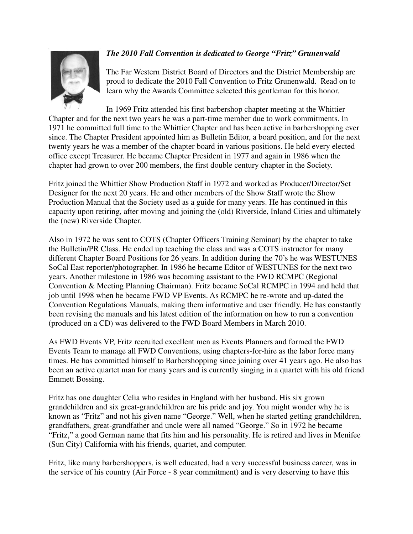## *The 2010 Fall Convention is dedicated to George "Fritz" Grunenwald*



The Far Western District Board of Directors and the District Membership are proud to dedicate the 2010 Fall Convention to Fritz Grunenwald. Read on to learn why the Awards Committee selected this gentleman for this honor.

In 1969 Fritz attended his first barbershop chapter meeting at the Whittier Chapter and for the next two years he was a part-time member due to work commitments. In 1971 he committed full time to the Whittier Chapter and has been active in barbershopping ever since. The Chapter President appointed him as Bulletin Editor, a board position, and for the next twenty years he was a member of the chapter board in various positions. He held every elected office except Treasurer. He became Chapter President in 1977 and again in 1986 when the chapter had grown to over 200 members, the first double century chapter in the Society.

Fritz joined the Whittier Show Production Staff in 1972 and worked as Producer/Director/Set Designer for the next 20 years. He and other members of the Show Staff wrote the Show Production Manual that the Society used as a guide for many years. He has continued in this capacity upon retiring, after moving and joining the (old) Riverside, Inland Cities and ultimately the (new) Riverside Chapter.

Also in 1972 he was sent to COTS (Chapter Officers Training Seminar) by the chapter to take the Bulletin/PR Class. He ended up teaching the class and was a COTS instructor for many different Chapter Board Positions for 26 years. In addition during the 70's he was WESTUNES SoCal East reporter/photographer. In 1986 he became Editor of WESTUNES for the next two years. Another milestone in 1986 was becoming assistant to the FWD RCMPC (Regional Convention & Meeting Planning Chairman). Fritz became SoCal RCMPC in 1994 and held that job until 1998 when he became FWD VP Events. As RCMPC he re-wrote and up-dated the Convention Regulations Manuals, making them informative and user friendly. He has constantly been revising the manuals and his latest edition of the information on how to run a convention (produced on a CD) was delivered to the FWD Board Members in March 2010.

As FWD Events VP, Fritz recruited excellent men as Events Planners and formed the FWD Events Team to manage all FWD Conventions, using chapters-for-hire as the labor force many times. He has committed himself to Barbershopping since joining over 41 years ago. He also has been an active quartet man for many years and is currently singing in a quartet with his old friend Emmett Bossing.

Fritz has one daughter Celia who resides in England with her husband. His six grown grandchildren and six great-grandchildren are his pride and joy. You might wonder why he is known as "Fritz" and not his given name "George." Well, when he started getting grandchildren, grandfathers, great-grandfather and uncle were all named "George." So in 1972 he became "Fritz," a good German name that fits him and his personality. He is retired and lives in Menifee (Sun City) California with his friends, quartet, and computer.

Fritz, like many barbershoppers, is well educated, had a very successful business career, was in the service of his country (Air Force - 8 year commitment) and is very deserving to have this